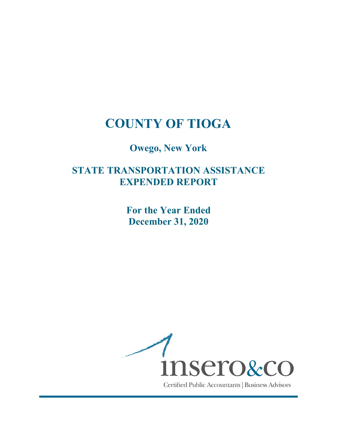# Owego, New York

# STATE TRANSPORTATION ASSISTANCE EXPENDED REPORT

For the Year Ended December 31, 2020

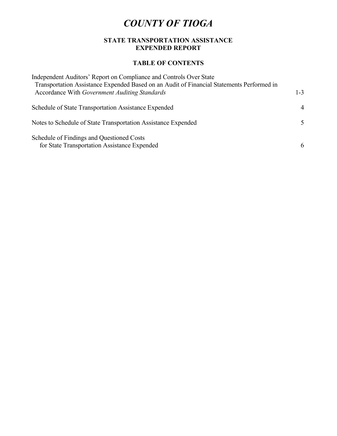## STATE TRANSPORTATION ASSISTANCE EXPENDED REPORT

# TABLE OF CONTENTS

| Independent Auditors' Report on Compliance and Controls Over State<br>Transportation Assistance Expended Based on an Audit of Financial Statements Performed in |         |
|-----------------------------------------------------------------------------------------------------------------------------------------------------------------|---------|
| Accordance With Government Auditing Standards                                                                                                                   | $1 - 3$ |
| Schedule of State Transportation Assistance Expended                                                                                                            |         |
| Notes to Schedule of State Transportation Assistance Expended                                                                                                   | 5.      |
| Schedule of Findings and Questioned Costs<br>for State Transportation Assistance Expended                                                                       | 6       |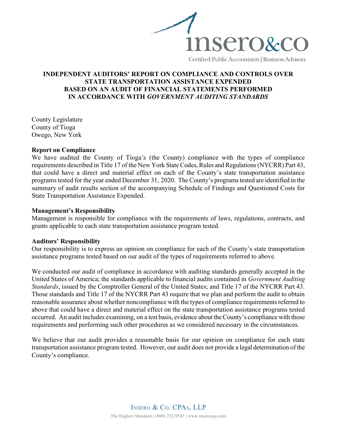

### INDEPENDENT AUDITORS' REPORT ON COMPLIANCE AND CONTROLS OVER STATE TRANSPORTATION ASSISTANCE EXPENDED BASED ON AN AUDIT OF FINANCIAL STATEMENTS PERFORMED IN ACCORDANCE WITH GOVERNMENT AUDITING STANDARDS

County Legislature County of Tioga Owego, New York

#### Report on Compliance

We have audited the County of Tioga's (the County) compliance with the types of compliance requirements described in Title 17 of the New York State Codes, Rules and Regulations (NYCRR) Part 43, that could have a direct and material effect on each of the County's state transportation assistance programs tested for the year ended December 31, 2020. The County's programs tested are identified in the summary of audit results section of the accompanying Schedule of Findings and Questioned Costs for State Transportation Assistance Expended.

#### Management's Responsibility

Management is responsible for compliance with the requirements of laws, regulations, contracts, and grants applicable to each state transportation assistance program tested.

### Auditors' Responsibility

Our responsibility is to express an opinion on compliance for each of the County's state transportation assistance programs tested based on our audit of the types of requirements referred to above.

We conducted our audit of compliance in accordance with auditing standards generally accepted in the United States of America; the standards applicable to financial audits contained in Government Auditing Standards, issued by the Comptroller General of the United States; and Title 17 of the NYCRR Part 43. Those standards and Title 17 of the NYCRR Part 43 require that we plan and perform the audit to obtain reasonable assurance about whether noncompliance with the types of compliance requirements referred to above that could have a direct and material effect on the state transportation assistance programs tested occurred. An audit includes examining, on a test basis, evidence about the County's compliance with those requirements and performing such other procedures as we considered necessary in the circumstances.

We believe that our audit provides a reasonable basis for our opinion on compliance for each state transportation assistance program tested. However, our audit does not provide a legal determination of the County's compliance.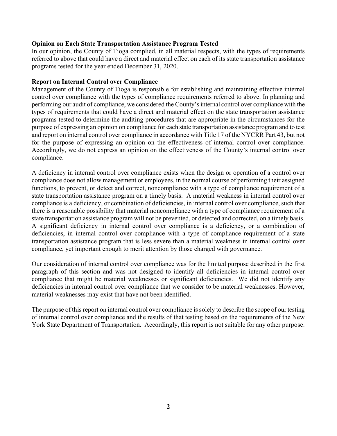### Opinion on Each State Transportation Assistance Program Tested

In our opinion, the County of Tioga complied, in all material respects, with the types of requirements referred to above that could have a direct and material effect on each of its state transportation assistance programs tested for the year ended December 31, 2020.

### Report on Internal Control over Compliance

Management of the County of Tioga is responsible for establishing and maintaining effective internal control over compliance with the types of compliance requirements referred to above. In planning and performing our audit of compliance, we considered the County's internal control over compliance with the types of requirements that could have a direct and material effect on the state transportation assistance programs tested to determine the auditing procedures that are appropriate in the circumstances for the purpose of expressing an opinion on compliance for each state transportation assistance program and to test and report on internal control over compliance in accordance with Title 17 of the NYCRR Part 43, but not for the purpose of expressing an opinion on the effectiveness of internal control over compliance. Accordingly, we do not express an opinion on the effectiveness of the County's internal control over compliance.

A deficiency in internal control over compliance exists when the design or operation of a control over compliance does not allow management or employees, in the normal course of performing their assigned functions, to prevent, or detect and correct, noncompliance with a type of compliance requirement of a state transportation assistance program on a timely basis. A material weakness in internal control over compliance is a deficiency, or combination of deficiencies, in internal control over compliance, such that there is a reasonable possibility that material noncompliance with a type of compliance requirement of a state transportation assistance program will not be prevented, or detected and corrected, on a timely basis. A significant deficiency in internal control over compliance is a deficiency, or a combination of deficiencies, in internal control over compliance with a type of compliance requirement of a state transportation assistance program that is less severe than a material weakness in internal control over compliance, yet important enough to merit attention by those charged with governance.

Our consideration of internal control over compliance was for the limited purpose described in the first paragraph of this section and was not designed to identify all deficiencies in internal control over compliance that might be material weaknesses or significant deficiencies. We did not identify any deficiencies in internal control over compliance that we consider to be material weaknesses. However, material weaknesses may exist that have not been identified.

The purpose of this report on internal control over compliance is solely to describe the scope of our testing of internal control over compliance and the results of that testing based on the requirements of the New York State Department of Transportation. Accordingly, this report is not suitable for any other purpose.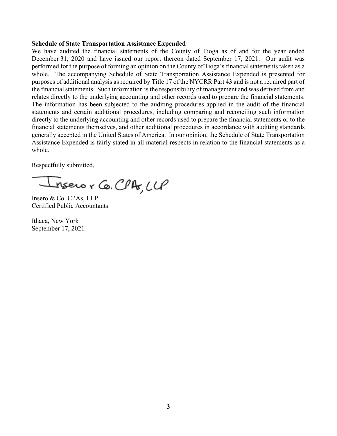#### Schedule of State Transportation Assistance Expended

We have audited the financial statements of the County of Tioga as of and for the year ended December 31, 2020 and have issued our report thereon dated September 17, 2021. Our audit was performed for the purpose of forming an opinion on the County of Tioga's financial statements taken as a whole. The accompanying Schedule of State Transportation Assistance Expended is presented for purposes of additional analysis as required by Title 17 of the NYCRR Part 43 and is not a required part of the financial statements. Such information is the responsibility of management and was derived from and relates directly to the underlying accounting and other records used to prepare the financial statements. The information has been subjected to the auditing procedures applied in the audit of the financial statements and certain additional procedures, including comparing and reconciling such information directly to the underlying accounting and other records used to prepare the financial statements or to the financial statements themselves, and other additional procedures in accordance with auditing standards generally accepted in the United States of America. In our opinion, the Schedule of State Transportation Assistance Expended is fairly stated in all material respects in relation to the financial statements as a whole.

Respectfully submitted,

nsero r Co. CPA, LLP

Insero & Co. CPAs, LLP Certified Public Accountants

Ithaca, New York September 17, 2021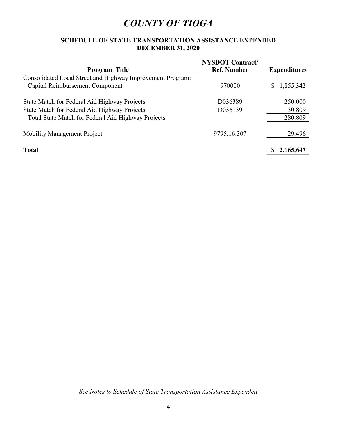### SCHEDULE OF STATE TRANSPORTATION ASSISTANCE EXPENDED DECEMBER 31, 2020

| <b>COUNTY OF TIOGA</b>                                                                             |                                               |                     |  |
|----------------------------------------------------------------------------------------------------|-----------------------------------------------|---------------------|--|
|                                                                                                    |                                               |                     |  |
| <b>SCHEDULE OF STATE TRANSPORTATION ASSISTANCE EXPENDED</b><br><b>DECEMBER 31, 2020</b>            |                                               |                     |  |
| Program Title                                                                                      | <b>NYSDOT Contract/</b><br><b>Ref. Number</b> | <b>Expenditures</b> |  |
| Consolidated Local Street and Highway Improvement Program:<br>Capital Reimbursement Component      | 970000                                        | \$1,855,342         |  |
|                                                                                                    |                                               |                     |  |
| State Match for Federal Aid Highway Projects                                                       | D036389                                       | 250,000             |  |
| State Match for Federal Aid Highway Projects<br>Total State Match for Federal Aid Highway Projects | D036139                                       | 30,809<br>280,809   |  |
| Mobility Management Project                                                                        | 9795.16.307                                   | 29,496              |  |

See Notes to Schedule of State Transportation Assistance Expended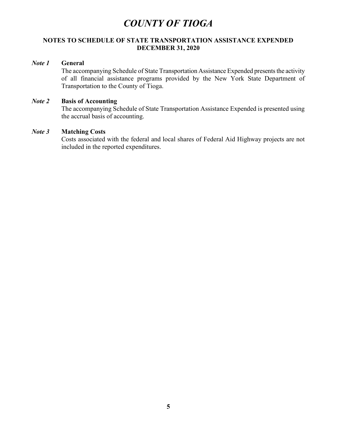### NOTES TO SCHEDULE OF STATE TRANSPORTATION ASSISTANCE EXPENDED DECEMBER 31, 2020

#### Note 1 General

The accompanying Schedule of State Transportation Assistance Expended presents the activity of all financial assistance programs provided by the New York State Department of Transportation to the County of Tioga.

### Note 2 Basis of Accounting

The accompanying Schedule of State Transportation Assistance Expended is presented using the accrual basis of accounting.

#### Note 3 Matching Costs

Costs associated with the federal and local shares of Federal Aid Highway projects are not included in the reported expenditures.